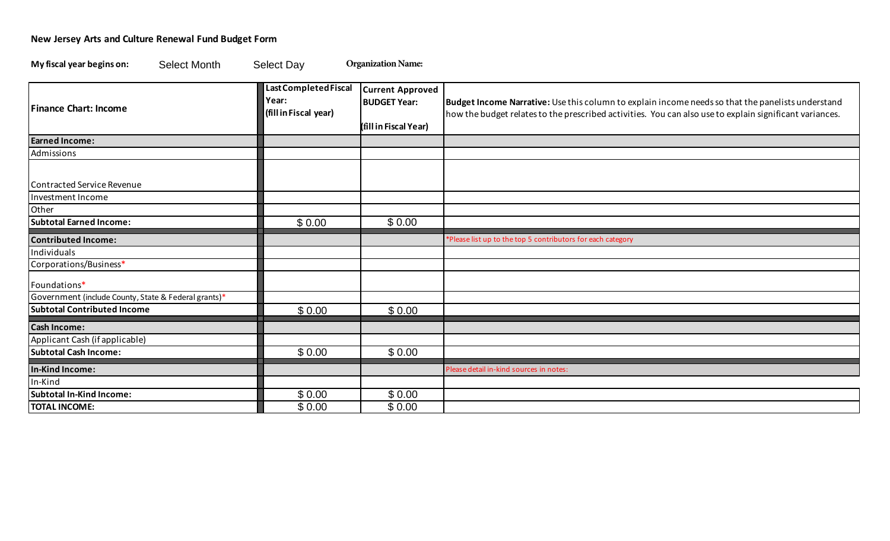## **New Jersey Arts and Culture Renewal Fund Budget Form**

My fiscal year begins on: **Select Month** Select Day **Organization Name:** 

| My fiscal year begins on:<br><b>Select Month</b>     | <b>Select Day</b>                                       | <b>Organization Name:</b>                                               |                                                                                                                                                                                                              |
|------------------------------------------------------|---------------------------------------------------------|-------------------------------------------------------------------------|--------------------------------------------------------------------------------------------------------------------------------------------------------------------------------------------------------------|
| <b>Finance Chart: Income</b>                         | Last Completed Fiscal<br>Year:<br>(fill in Fiscal year) | <b>Current Approved</b><br><b>BUDGET Year:</b><br>(fill in Fiscal Year) | Budget Income Narrative: Use this column to explain income needs so that the panelists understand<br>how the budget relates to the prescribed activities. You can also use to explain significant variances. |
| <b>Earned Income:</b>                                |                                                         |                                                                         |                                                                                                                                                                                                              |
| Admissions                                           |                                                         |                                                                         |                                                                                                                                                                                                              |
| <b>Contracted Service Revenue</b>                    |                                                         |                                                                         |                                                                                                                                                                                                              |
| Investment Income<br>Other                           |                                                         |                                                                         |                                                                                                                                                                                                              |
| <b>Subtotal Earned Income:</b>                       | \$0.00                                                  | \$0.00                                                                  |                                                                                                                                                                                                              |
| <b>Contributed Income:</b>                           |                                                         |                                                                         | *Please list up to the top 5 contributors for each category                                                                                                                                                  |
| Individuals                                          |                                                         |                                                                         |                                                                                                                                                                                                              |
| Corporations/Business*                               |                                                         |                                                                         |                                                                                                                                                                                                              |
| Foundations*                                         |                                                         |                                                                         |                                                                                                                                                                                                              |
| Government (include County, State & Federal grants)* |                                                         |                                                                         |                                                                                                                                                                                                              |
| <b>Subtotal Contributed Income</b>                   | \$0.00                                                  | \$0.00                                                                  |                                                                                                                                                                                                              |
| <b>Cash Income:</b>                                  |                                                         |                                                                         |                                                                                                                                                                                                              |
| Applicant Cash (if applicable)                       |                                                         |                                                                         |                                                                                                                                                                                                              |
| <b>Subtotal Cash Income:</b>                         | \$0.00                                                  | \$0.00                                                                  |                                                                                                                                                                                                              |
| In-Kind Income:                                      |                                                         |                                                                         | Please detail in-kind sources in notes:                                                                                                                                                                      |
| In-Kind                                              |                                                         |                                                                         |                                                                                                                                                                                                              |
| <b>Subtotal In-Kind Income:</b>                      | \$0.00                                                  | \$0.00                                                                  |                                                                                                                                                                                                              |
| <b>TOTAL INCOME:</b>                                 | \$0.00                                                  | \$0.00                                                                  |                                                                                                                                                                                                              |